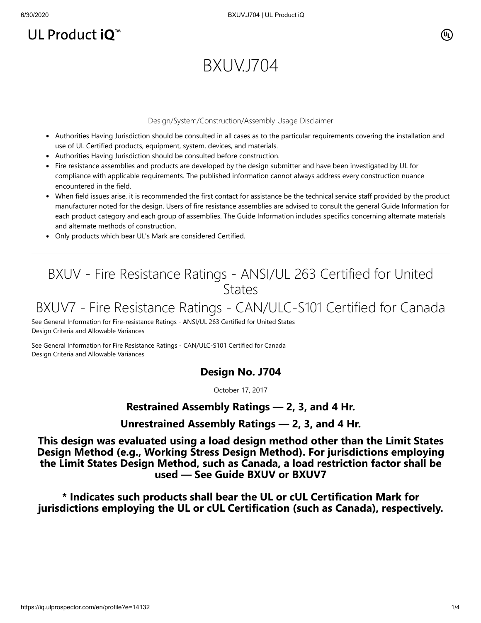# UL Product iQ<sup>™</sup>

# BXUV.J704

#### Design/System/Construction/Assembly Usage Disclaimer

- Authorities Having Jurisdiction should be consulted in all cases as to the particular requirements covering the installation and use of UL Certified products, equipment, system, devices, and materials.
- Authorities Having Jurisdiction should be consulted before construction.
- Fire resistance assemblies and products are developed by the design submitter and have been investigated by UL for compliance with applicable requirements. The published information cannot always address every construction nuance encountered in the field.
- When field issues arise, it is recommended the first contact for assistance be the technical service staff provided by the product manufacturer noted for the design. Users of fire resistance assemblies are advised to consult the general Guide Information for each product category and each group of assemblies. The Guide Information includes specifics concerning alternate materials and alternate methods of construction.
- Only products which bear UL's Mark are considered Certified.

# BXUV - Fire Resistance Ratings - ANSI/UL 263 Certified for United **States**

## BXUV7 - Fire Resistance Ratings - CAN/ULC-S101 Certified for Canada

[See General Information for Fire-resistance Ratings - ANSI/UL 263 Certified for United States](https://iq.ulprospector.com/cgi-bin/XYV/template/LISEXT/1FRAME/showpage.html?name=BXUV.GuideInfo&ccnshorttitle=Fire-resistance+Ratings+-+ANSI/UL+263&objid=1074327030&cfgid=1073741824&version=versionless&parent_id=1073984818&sequence=1) Design Criteria and Allowable Variances

[See General Information for Fire Resistance Ratings - CAN/ULC-S101 Certified for Canada](https://iq.ulprospector.com/cgi-bin/XYV/template/LISEXT/1FRAME/showpage.html?name=BXUV7.GuideInfo&ccnshorttitle=Fire+Resistance+Ratings+-+CAN/ULC-S101+Certified+for+Canada&objid=1074205658&cfgid=1073741824&version=versionless&parent_id=1073984820&sequence=1) Design Criteria and Allowable Variances

### **Design No. J704**

October 17, 2017

### **Restrained Assembly Ratings — 2, 3, and 4 Hr.**

#### **Unrestrained Assembly Ratings — 2, 3, and 4 Hr.**

**This design was evaluated using a load design method other than the Limit States Design Method (e.g., Working Stress Design Method). For jurisdictions employing the Limit States Design Method, such as Canada, a load restriction factor shall be used — See Guide [BXUV](http://database.ul.com/cgi-bin/XYV/template/LISEXT/1FRAME/showpage.html?name=BXUV.GuideInfo&ccnshorttitle=Fire-resistance+Ratings+-+ANSI/UL+263&objid=1074327030&cfgid=1073741824&version=versionless&parent_id=1073984818&sequence=1) or [BXUV7](http://database.ul.com/cgi-bin/XYV/template/LISEXT/1FRAME/showpage.html?name=BXUV7.GuideInfo&ccnshorttitle=Fire+Resistance+Ratings+-+CAN/ULC-S101M+Certified+for+Canada&objid=1074205658&cfgid=1073741824&version=versionless&parent_id=1073984820&sequence=1)**

**\* Indicates such products shall bear the UL or cUL Certification Mark for jurisdictions employing the UL or cUL Certification (such as Canada), respectively.**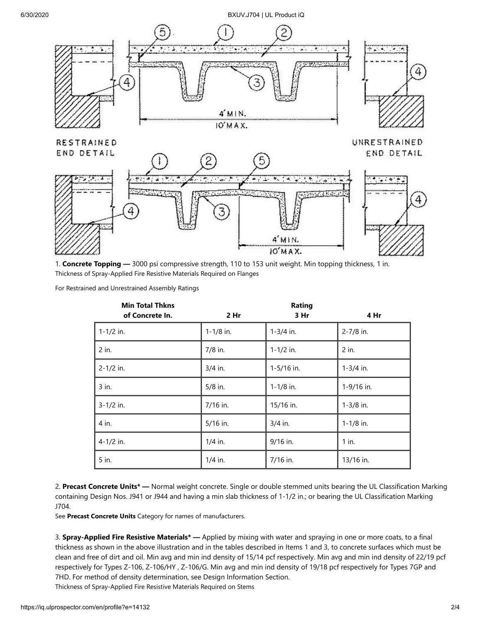#### 6/30/2020 BXUV.J704 | UL Product iQ



1. **Concrete Topping —** 3000 psi compressive strength, 110 to 153 unit weight. Min topping thickness, 1 in. Thickness of Spray-Applied Fire Resistive Materials Required on Flanges

For Restrained and Unrestrained Assembly Ratings

| <b>Min Total Thkns</b><br>of Concrete In. | 2 Hr          | Rating<br>3 Hr | 4 Hr          |
|-------------------------------------------|---------------|----------------|---------------|
| $1 - 1/2$ in.                             | $1 - 1/8$ in. | $1-3/4$ in.    | 2-7/8 in.     |
| 2 in.                                     | 7/8 in.       | $1 - 1/2$ in.  | 2 in.         |
| 2-1/2 in.                                 | 3/4 in.       | 1-5/16 in.     | $1-3/4$ in.   |
| 3 in.                                     | $5/8$ in.     | $1 - 1/8$ in.  | 1-9/16 in.    |
| 3-1/2 in.                                 | 7/16 in.      | 15/16 in.      | $1 - 3/8$ in. |
| 4 in.                                     | $5/16$ in.    | $3/4$ in.      | $1 - 1/8$ in. |
| 4-1/2 in.                                 | $1/4$ in.     | 9/16 in.       | $1$ in.       |
| 5 in.                                     | $1/4$ in.     | 7/16 in.       | 13/16 in.     |

2. **Precast Concrete Units\* —** Normal weight concrete. Single or double stemmed units bearing the UL Classification Marking containing Design Nos. J941 or J944 and having a min slab thickness of 1-1/2 in.; or bearing the UL Classification Marking J704.

See **Precast Concrete Units** Category for names of manufacturers.

3. **Spray-Applied Fire Resistive Materials\* —** Applied by mixing with water and spraying in one or more coats, to a final thickness as shown in the above illustration and in the tables described in Items 1 and 3, to concrete surfaces which must be clean and free of dirt and oil. Min avg and min ind density of 15/14 pcf respectively. Min avg and min ind density of 22/19 pcf respectively for Types Z-106, Z-106/HY , Z-106/G. Min avg and min ind density of 19/18 pcf respectively for Types 7GP and 7HD. For method of density determination, see Design Information Section. Thickness of Spray-Applied Fire Resistive Materials Required on Stems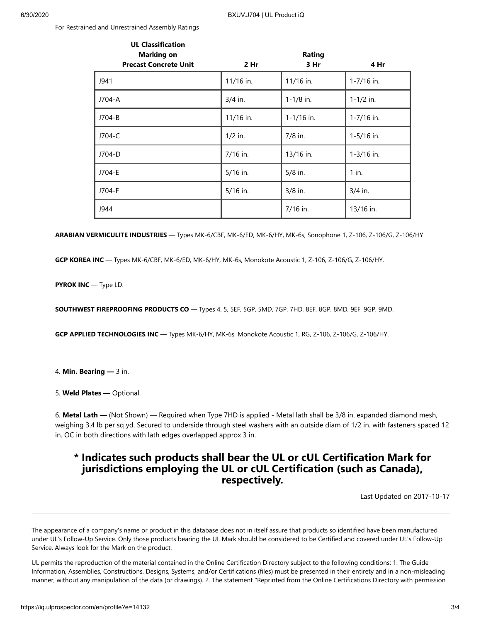For Restrained and Unrestrained Assembly Ratings

| <b>UL Classification</b><br><b>Marking on</b> |           | Rating        |               |
|-----------------------------------------------|-----------|---------------|---------------|
| <b>Precast Concrete Unit</b>                  | 2 Hr      | 3 Hr          | 4 Hr          |
| J941                                          | 11/16 in. | 11/16 in.     | 1-7/16 in.    |
| J704-A                                        | $3/4$ in. | $1 - 1/8$ in. | $1 - 1/2$ in. |
| J704-B                                        | 11/16 in. | 1-1/16 in.    | 1-7/16 in.    |
| J704-C                                        | $1/2$ in. | $7/8$ in.     | 1-5/16 in.    |
| J704-D                                        | 7/16 in.  | 13/16 in.     | 1-3/16 in.    |
| J704-E                                        | 5/16 in.  | $5/8$ in.     | $1$ in.       |
| J704-F                                        | 5/16 in.  | $3/8$ in.     | $3/4$ in.     |
| J944                                          |           | 7/16 in.      | 13/16 in.     |

**ARABIAN VERMICULITE INDUSTRIES** — Types MK-6/CBF, MK-6/ED, MK-6/HY, MK-6s, Sonophone 1, Z-106, Z-106/G, Z-106/HY.

**GCP KOREA INC** — Types MK-6/CBF, MK-6/ED, MK-6/HY, MK-6s, Monokote Acoustic 1, Z-106, Z-106/G, Z-106/HY.

**PYROK INC** — Type LD.

**SOUTHWEST FIREPROOFING PRODUCTS CO** — Types 4, 5, 5EF, 5GP, 5MD, 7GP, 7HD, 8EF, 8GP, 8MD, 9EF, 9GP, 9MD.

**GCP APPLIED TECHNOLOGIES INC** — Types MK-6/HY, MK-6s, Monokote Acoustic 1, RG, Z-106, Z-106/G, Z-106/HY.

4. **Min. Bearing —** 3 in.

5. **Weld Plates —** Optional.

6. **Metal Lath —** (Not Shown) — Required when Type 7HD is applied - Metal lath shall be 3/8 in. expanded diamond mesh, weighing 3.4 lb per sq yd. Secured to underside through steel washers with an outside diam of 1/2 in. with fasteners spaced 12 in. OC in both directions with lath edges overlapped approx 3 in.

## **\* Indicates such products shall bear the UL or cUL Certification Mark for jurisdictions employing the UL or cUL Certification (such as Canada), respectively.**

[Last Updated](javascript:openit() on 2017-10-17

The appearance of a company's name or product in this database does not in itself assure that products so identified have been manufactured under UL's Follow-Up Service. Only those products bearing the UL Mark should be considered to be Certified and covered under UL's Follow-Up Service. Always look for the Mark on the product.

UL permits the reproduction of the material contained in the Online Certification Directory subject to the following conditions: 1. The Guide Information, Assemblies, Constructions, Designs, Systems, and/or Certifications (files) must be presented in their entirety and in a non-misleading manner, without any manipulation of the data (or drawings). 2. The statement "Reprinted from the Online Certifications Directory with permission